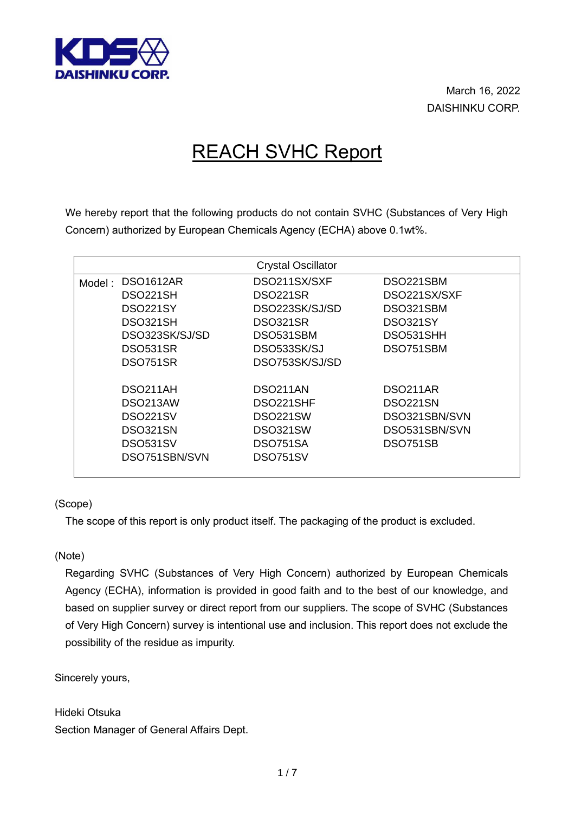

March 16, 2022 DAISHINKU CORP.

## REACH SVHC Report

We hereby report that the following products do not contain SVHC (Substances of Very High Concern) authorized by European Chemicals Agency (ECHA) above 0.1wt%.

|        |                | <b>Crystal Oscillator</b> |                       |
|--------|----------------|---------------------------|-----------------------|
| Model: | DSO1612AR      | DSO211SX/SXF              | DSO221SBM             |
|        | DSO221SH       | DSO221SR                  | DSO221SX/SXF          |
|        | DSO221SY       | DSO223SK/SJ/SD            | DSO321SBM             |
|        | DSO321SH       | DSO321SR                  | <b>DSO321SY</b>       |
|        | DSO323SK/SJ/SD | DSO531SBM                 | DSO531SHH             |
|        | DSO531SR       | DSO533SK/SJ               | DSO751SBM             |
|        | DSO751SR       | DSO753SK/SJ/SD            |                       |
|        |                |                           |                       |
|        | DSO211AH       | DSO <sub>211</sub> AN     | DSO <sub>211</sub> AR |
|        | DSO213AW       | DSO221SHF                 | DSO221SN              |
|        | DSO221SV       | DSO221SW                  | DSO321SBN/SVN         |
|        | DSO321SN       | DSO321SW                  | DSO531SBN/SVN         |
|        | DSO531SV       | DSO751SA                  | <b>DSO751SB</b>       |
|        | DSO751SBN/SVN  | DSO751SV                  |                       |
|        |                |                           |                       |

(Scope)

The scope of this report is only product itself. The packaging of the product is excluded.

(Note)

Regarding SVHC (Substances of Very High Concern) authorized by European Chemicals Agency (ECHA), information is provided in good faith and to the best of our knowledge, and based on supplier survey or direct report from our suppliers. The scope of SVHC (Substances of Very High Concern) survey is intentional use and inclusion. This report does not exclude the possibility of the residue as impurity.

Sincerely yours,

Hideki Otsuka Section Manager of General Affairs Dept.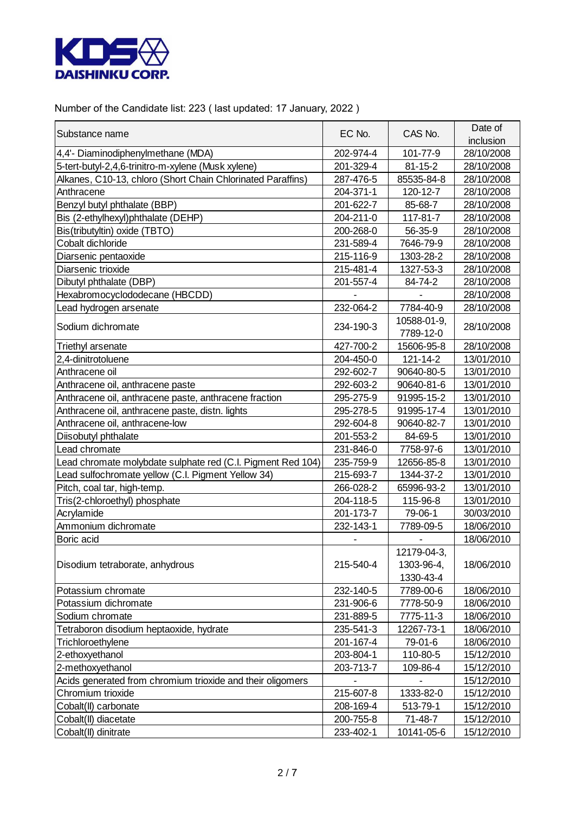

Number of the Candidate list: 223 ( last updated: 17 January, 2022 )

| Substance name                                              | EC No.    | CAS No.       | Date of    |
|-------------------------------------------------------------|-----------|---------------|------------|
|                                                             |           |               | inclusion  |
| 4,4'- Diaminodiphenylmethane (MDA)                          | 202-974-4 | 101-77-9      | 28/10/2008 |
| 5-tert-butyl-2,4,6-trinitro-m-xylene (Musk xylene)          | 201-329-4 | $81 - 15 - 2$ | 28/10/2008 |
| Alkanes, C10-13, chloro (Short Chain Chlorinated Paraffins) | 287-476-5 | 85535-84-8    | 28/10/2008 |
| Anthracene                                                  | 204-371-1 | 120-12-7      | 28/10/2008 |
| Benzyl butyl phthalate (BBP)                                | 201-622-7 | 85-68-7       | 28/10/2008 |
| Bis (2-ethylhexyl)phthalate (DEHP)                          | 204-211-0 | 117-81-7      | 28/10/2008 |
| Bis(tributyltin) oxide (TBTO)                               | 200-268-0 | 56-35-9       | 28/10/2008 |
| Cobalt dichloride                                           | 231-589-4 | 7646-79-9     | 28/10/2008 |
| Diarsenic pentaoxide                                        | 215-116-9 | 1303-28-2     | 28/10/2008 |
| Diarsenic trioxide                                          | 215-481-4 | 1327-53-3     | 28/10/2008 |
| Dibutyl phthalate (DBP)                                     | 201-557-4 | 84-74-2       | 28/10/2008 |
| Hexabromocyclododecane (HBCDD)                              |           |               | 28/10/2008 |
| Lead hydrogen arsenate                                      | 232-064-2 | 7784-40-9     | 28/10/2008 |
|                                                             |           | 10588-01-9,   |            |
| Sodium dichromate                                           | 234-190-3 | 7789-12-0     | 28/10/2008 |
| Triethyl arsenate                                           | 427-700-2 | 15606-95-8    | 28/10/2008 |
| 2,4-dinitrotoluene                                          | 204-450-0 | 121-14-2      | 13/01/2010 |
| Anthracene oil                                              | 292-602-7 | 90640-80-5    | 13/01/2010 |
| Anthracene oil, anthracene paste                            | 292-603-2 | 90640-81-6    | 13/01/2010 |
| Anthracene oil, anthracene paste, anthracene fraction       | 295-275-9 | 91995-15-2    | 13/01/2010 |
| Anthracene oil, anthracene paste, distn. lights             | 295-278-5 | 91995-17-4    | 13/01/2010 |
| Anthracene oil, anthracene-low                              | 292-604-8 | 90640-82-7    | 13/01/2010 |
| Diisobutyl phthalate                                        | 201-553-2 | 84-69-5       | 13/01/2010 |
| Lead chromate                                               | 231-846-0 | 7758-97-6     | 13/01/2010 |
| Lead chromate molybdate sulphate red (C.I. Pigment Red 104) | 235-759-9 | 12656-85-8    | 13/01/2010 |
| Lead sulfochromate yellow (C.I. Pigment Yellow 34)          | 215-693-7 | 1344-37-2     | 13/01/2010 |
| Pitch, coal tar, high-temp.                                 | 266-028-2 | 65996-93-2    | 13/01/2010 |
| Tris(2-chloroethyl) phosphate                               | 204-118-5 | 115-96-8      | 13/01/2010 |
| Acrylamide                                                  | 201-173-7 | 79-06-1       | 30/03/2010 |
| Ammonium dichromate                                         | 232-143-1 | 7789-09-5     | 18/06/2010 |
| Boric acid                                                  |           |               | 18/06/2010 |
|                                                             | 215-540-4 | 12179-04-3,   |            |
| Disodium tetraborate, anhydrous                             |           | 1303-96-4,    | 18/06/2010 |
|                                                             |           | 1330-43-4     |            |
| Potassium chromate                                          | 232-140-5 | 7789-00-6     | 18/06/2010 |
| Potassium dichromate                                        | 231-906-6 | 7778-50-9     | 18/06/2010 |
| Sodium chromate                                             | 231-889-5 | 7775-11-3     | 18/06/2010 |
| Tetraboron disodium heptaoxide, hydrate                     | 235-541-3 | 12267-73-1    | 18/06/2010 |
| Trichloroethylene                                           | 201-167-4 | 79-01-6       | 18/06/2010 |
| 2-ethoxyethanol                                             | 203-804-1 | 110-80-5      | 15/12/2010 |
| 2-methoxyethanol                                            | 203-713-7 | 109-86-4      | 15/12/2010 |
| Acids generated from chromium trioxide and their oligomers  |           |               | 15/12/2010 |
| Chromium trioxide                                           | 215-607-8 | 1333-82-0     | 15/12/2010 |
| Cobalt(II) carbonate                                        | 208-169-4 | 513-79-1      | 15/12/2010 |
| Cobalt(II) diacetate                                        | 200-755-8 | $71 - 48 - 7$ | 15/12/2010 |
| Cobalt(II) dinitrate                                        | 233-402-1 | 10141-05-6    | 15/12/2010 |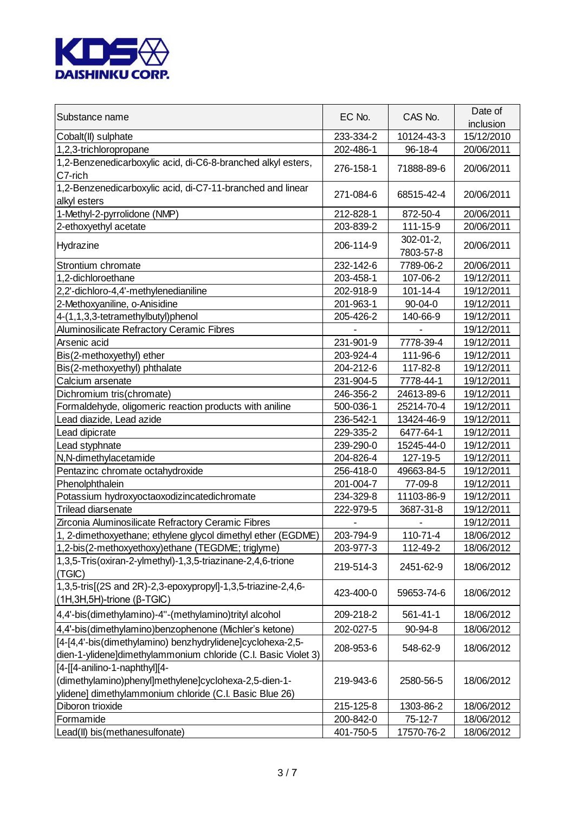

| Substance name                                                                                                                                    | EC No.    | CAS No.                       | Date of<br>inclusion |
|---------------------------------------------------------------------------------------------------------------------------------------------------|-----------|-------------------------------|----------------------|
| Cobalt(II) sulphate                                                                                                                               | 233-334-2 | 10124-43-3                    | 15/12/2010           |
| 1,2,3-trichloropropane                                                                                                                            | 202-486-1 | 96-18-4                       | 20/06/2011           |
| 1,2-Benzenedicarboxylic acid, di-C6-8-branched alkyl esters,<br>C7-rich                                                                           | 276-158-1 | 71888-89-6                    | 20/06/2011           |
| 1,2-Benzenedicarboxylic acid, di-C7-11-branched and linear<br>alkyl esters                                                                        | 271-084-6 | 68515-42-4                    | 20/06/2011           |
| 1-Methyl-2-pyrrolidone (NMP)                                                                                                                      | 212-828-1 | 872-50-4                      | 20/06/2011           |
| 2-ethoxyethyl acetate                                                                                                                             | 203-839-2 | 111-15-9                      | 20/06/2011           |
| Hydrazine                                                                                                                                         | 206-114-9 | $302 - 01 - 2$ ,<br>7803-57-8 | 20/06/2011           |
| Strontium chromate                                                                                                                                | 232-142-6 | 7789-06-2                     | 20/06/2011           |
| 1,2-dichloroethane                                                                                                                                | 203-458-1 | 107-06-2                      | 19/12/2011           |
| 2,2'-dichloro-4,4'-methylenedianiline                                                                                                             | 202-918-9 | $101 - 14 - 4$                | 19/12/2011           |
| 2-Methoxyaniline, o-Anisidine                                                                                                                     | 201-963-1 | $90 - 04 - 0$                 | 19/12/2011           |
| 4-(1,1,3,3-tetramethylbutyl)phenol                                                                                                                | 205-426-2 | 140-66-9                      | 19/12/2011           |
| Aluminosilicate Refractory Ceramic Fibres                                                                                                         |           |                               | 19/12/2011           |
| Arsenic acid                                                                                                                                      | 231-901-9 | 7778-39-4                     | 19/12/2011           |
| Bis(2-methoxyethyl) ether                                                                                                                         | 203-924-4 | 111-96-6                      | 19/12/2011           |
| Bis(2-methoxyethyl) phthalate                                                                                                                     | 204-212-6 | 117-82-8                      | 19/12/2011           |
| Calcium arsenate                                                                                                                                  | 231-904-5 | 7778-44-1                     | 19/12/2011           |
| Dichromium tris(chromate)                                                                                                                         | 246-356-2 | 24613-89-6                    | 19/12/2011           |
| Formaldehyde, oligomeric reaction products with aniline                                                                                           | 500-036-1 | 25214-70-4                    | 19/12/2011           |
| Lead diazide, Lead azide                                                                                                                          | 236-542-1 | 13424-46-9                    | 19/12/2011           |
| Lead dipicrate                                                                                                                                    | 229-335-2 | 6477-64-1                     | 19/12/2011           |
| Lead styphnate                                                                                                                                    | 239-290-0 | 15245-44-0                    | 19/12/2011           |
| N,N-dimethylacetamide                                                                                                                             | 204-826-4 | 127-19-5                      | 19/12/2011           |
| Pentazinc chromate octahydroxide                                                                                                                  | 256-418-0 | 49663-84-5                    | 19/12/2011           |
| Phenolphthalein                                                                                                                                   | 201-004-7 | 77-09-8                       | 19/12/2011           |
| Potassium hydroxyoctaoxodizincatedichromate                                                                                                       | 234-329-8 | 11103-86-9                    | 19/12/2011           |
| Trilead diarsenate                                                                                                                                | 222-979-5 | 3687-31-8                     | 19/12/2011           |
| Zirconia Aluminosilicate Refractory Ceramic Fibres                                                                                                |           |                               | 19/12/2011           |
| 1, 2-dimethoxyethane; ethylene glycol dimethyl ether (EGDME)                                                                                      | 203-794-9 | 110-71-4                      | 18/06/2012           |
| 1,2-bis(2-methoxyethoxy)ethane (TEGDME; triglyme)                                                                                                 | 203-977-3 | 112-49-2                      | 18/06/2012           |
| 1,3,5-Tris(oxiran-2-ylmethyl)-1,3,5-triazinane-2,4,6-trione<br>(TGIC)                                                                             | 219-514-3 | 2451-62-9                     | 18/06/2012           |
| 1,3,5-tris[(2S and 2R)-2,3-epoxypropyl]-1,3,5-triazine-2,4,6-<br>$(1H, 3H, 5H)$ -trione ( $\beta$ -TGIC)                                          | 423-400-0 | 59653-74-6                    | 18/06/2012           |
| 4,4'-bis(dimethylamino)-4"-(methylamino)trityl alcohol                                                                                            | 209-218-2 | 561-41-1                      | 18/06/2012           |
| 4,4'-bis(dimethylamino)benzophenone (Michler's ketone)                                                                                            | 202-027-5 | 90-94-8                       | 18/06/2012           |
| [4-[4,4'-bis(dimethylamino) benzhydrylidene]cyclohexa-2,5-<br>dien-1-ylidene]dimethylammonium chloride (C.I. Basic Violet 3)                      | 208-953-6 | 548-62-9                      | 18/06/2012           |
| [4-[[4-anilino-1-naphthyl][4-<br>(dimethylamino)phenyl]methylene]cyclohexa-2,5-dien-1-<br>ylidene] dimethylammonium chloride (C.I. Basic Blue 26) | 219-943-6 | 2580-56-5                     | 18/06/2012           |
| Diboron trioxide                                                                                                                                  | 215-125-8 | 1303-86-2                     | 18/06/2012           |
| Formamide                                                                                                                                         | 200-842-0 | $75-12-7$                     | 18/06/2012           |
| Lead(II) bis(methanesulfonate)                                                                                                                    | 401-750-5 | 17570-76-2                    | 18/06/2012           |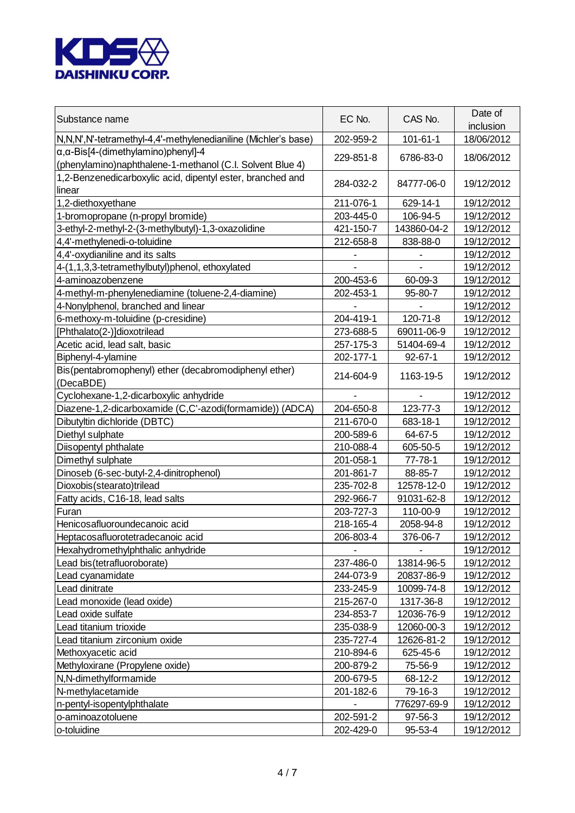

| Substance name                                                                                                | EC No.    | CAS No.        | Date of<br>inclusion |
|---------------------------------------------------------------------------------------------------------------|-----------|----------------|----------------------|
| N, N, N', N'-tetramethyl-4, 4'-methylenedianiline (Michler's base)                                            | 202-959-2 | $101 - 61 - 1$ | 18/06/2012           |
| $\alpha, \alpha$ -Bis[4-(dimethylamino)phenyl]-4<br>(phenylamino)naphthalene-1-methanol (C.I. Solvent Blue 4) | 229-851-8 | 6786-83-0      | 18/06/2012           |
| 1,2-Benzenedicarboxylic acid, dipentyl ester, branched and<br>linear                                          | 284-032-2 | 84777-06-0     | 19/12/2012           |
| 1,2-diethoxyethane                                                                                            | 211-076-1 | 629-14-1       | 19/12/2012           |
| 1-bromopropane (n-propyl bromide)                                                                             | 203-445-0 | 106-94-5       | 19/12/2012           |
| 3-ethyl-2-methyl-2-(3-methylbutyl)-1,3-oxazolidine                                                            | 421-150-7 | 143860-04-2    | 19/12/2012           |
| 4,4'-methylenedi-o-toluidine                                                                                  | 212-658-8 | 838-88-0       | 19/12/2012           |
| 4,4'-oxydianiline and its salts                                                                               |           |                | 19/12/2012           |
| 4-(1,1,3,3-tetramethylbutyl)phenol, ethoxylated                                                               |           |                | 19/12/2012           |
| 4-aminoazobenzene                                                                                             | 200-453-6 | 60-09-3        | 19/12/2012           |
| 4-methyl-m-phenylenediamine (toluene-2,4-diamine)                                                             | 202-453-1 | 95-80-7        | 19/12/2012           |
| 4-Nonylphenol, branched and linear                                                                            |           |                | 19/12/2012           |
| 6-methoxy-m-toluidine (p-cresidine)                                                                           | 204-419-1 | 120-71-8       | 19/12/2012           |
| [Phthalato(2-)]dioxotrilead                                                                                   | 273-688-5 | 69011-06-9     | 19/12/2012           |
| Acetic acid, lead salt, basic                                                                                 | 257-175-3 | 51404-69-4     | 19/12/2012           |
| Biphenyl-4-ylamine                                                                                            | 202-177-1 | $92 - 67 - 1$  | 19/12/2012           |
| Bis(pentabromophenyl) ether (decabromodiphenyl ether)<br>(DecaBDE)                                            | 214-604-9 | 1163-19-5      | 19/12/2012           |
| Cyclohexane-1,2-dicarboxylic anhydride                                                                        |           |                | 19/12/2012           |
| Diazene-1,2-dicarboxamide (C,C'-azodi(formamide)) (ADCA)                                                      | 204-650-8 | 123-77-3       | 19/12/2012           |
| Dibutyltin dichloride (DBTC)                                                                                  | 211-670-0 | 683-18-1       | 19/12/2012           |
| Diethyl sulphate                                                                                              | 200-589-6 | 64-67-5        | 19/12/2012           |
| Diisopentyl phthalate                                                                                         | 210-088-4 | 605-50-5       | 19/12/2012           |
| Dimethyl sulphate                                                                                             | 201-058-1 | $77 - 78 - 1$  | 19/12/2012           |
| Dinoseb (6-sec-butyl-2,4-dinitrophenol)                                                                       | 201-861-7 | 88-85-7        | 19/12/2012           |
| Dioxobis (stearato)trilead                                                                                    | 235-702-8 | 12578-12-0     | 19/12/2012           |
| Fatty acids, C16-18, lead salts                                                                               | 292-966-7 | 91031-62-8     | 19/12/2012           |
| Furan                                                                                                         | 203-727-3 | 110-00-9       | 19/12/2012           |
| Henicosafluoroundecanoic acid                                                                                 | 218-165-4 | 2058-94-8      | 19/12/2012           |
| Heptacosafluorotetradecanoic acid                                                                             | 206-803-4 | 376-06-7       | 19/12/2012           |
| Hexahydromethylphthalic anhydride                                                                             |           |                | 19/12/2012           |
| Lead bis(tetrafluoroborate)                                                                                   | 237-486-0 | 13814-96-5     | 19/12/2012           |
| Lead cyanamidate                                                                                              | 244-073-9 | 20837-86-9     | 19/12/2012           |
| Lead dinitrate                                                                                                | 233-245-9 | 10099-74-8     | 19/12/2012           |
| Lead monoxide (lead oxide)                                                                                    | 215-267-0 | 1317-36-8      | 19/12/2012           |
| Lead oxide sulfate                                                                                            | 234-853-7 | 12036-76-9     | 19/12/2012           |
| Lead titanium trioxide                                                                                        | 235-038-9 | 12060-00-3     | 19/12/2012           |
| Lead titanium zirconium oxide                                                                                 | 235-727-4 | 12626-81-2     | 19/12/2012           |
| Methoxyacetic acid                                                                                            | 210-894-6 | 625-45-6       | 19/12/2012           |
| Methyloxirane (Propylene oxide)                                                                               | 200-879-2 | 75-56-9        | 19/12/2012           |
| N,N-dimethylformamide                                                                                         | 200-679-5 | 68-12-2        | 19/12/2012           |
| N-methylacetamide                                                                                             | 201-182-6 | 79-16-3        | 19/12/2012           |
| n-pentyl-isopentylphthalate                                                                                   |           | 776297-69-9    | 19/12/2012           |
| o-aminoazotoluene                                                                                             | 202-591-2 | 97-56-3        | 19/12/2012           |
| o-toluidine                                                                                                   | 202-429-0 | 95-53-4        | 19/12/2012           |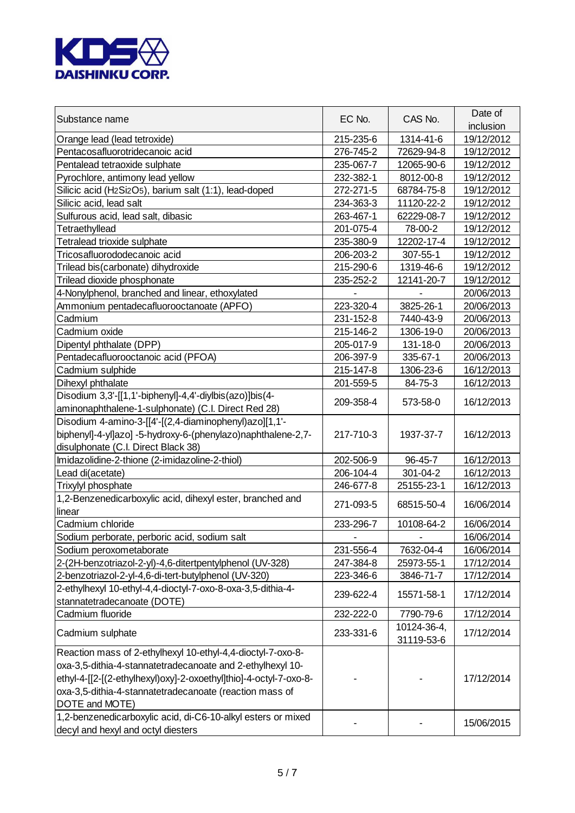

| Substance name                                                    | EC No.    | CAS No.     | Date of<br>inclusion |
|-------------------------------------------------------------------|-----------|-------------|----------------------|
| Orange lead (lead tetroxide)                                      | 215-235-6 | 1314-41-6   | 19/12/2012           |
| Pentacosafluorotridecanoic acid                                   | 276-745-2 | 72629-94-8  | 19/12/2012           |
| Pentalead tetraoxide sulphate                                     | 235-067-7 | 12065-90-6  | 19/12/2012           |
| Pyrochlore, antimony lead yellow                                  | 232-382-1 | 8012-00-8   | 19/12/2012           |
| Silicic acid (H2Si2O5), barium salt (1:1), lead-doped             | 272-271-5 | 68784-75-8  | 19/12/2012           |
| Silicic acid, lead salt                                           | 234-363-3 | 11120-22-2  | 19/12/2012           |
| Sulfurous acid, lead salt, dibasic                                | 263-467-1 | 62229-08-7  | 19/12/2012           |
| Tetraethyllead                                                    | 201-075-4 | 78-00-2     | 19/12/2012           |
| Tetralead trioxide sulphate                                       | 235-380-9 | 12202-17-4  | 19/12/2012           |
| Tricosafluorododecanoic acid                                      | 206-203-2 | 307-55-1    | 19/12/2012           |
| Trilead bis(carbonate) dihydroxide                                | 215-290-6 | 1319-46-6   | 19/12/2012           |
| Trilead dioxide phosphonate                                       | 235-252-2 | 12141-20-7  | 19/12/2012           |
| 4-Nonylphenol, branched and linear, ethoxylated                   |           |             | 20/06/2013           |
| Ammonium pentadecafluorooctanoate (APFO)                          | 223-320-4 | 3825-26-1   | 20/06/2013           |
| Cadmium                                                           | 231-152-8 | 7440-43-9   | 20/06/2013           |
| Cadmium oxide                                                     | 215-146-2 | 1306-19-0   | 20/06/2013           |
| Dipentyl phthalate (DPP)                                          | 205-017-9 | 131-18-0    | 20/06/2013           |
| Pentadecafluorooctanoic acid (PFOA)                               | 206-397-9 | 335-67-1    | 20/06/2013           |
| Cadmium sulphide                                                  | 215-147-8 | 1306-23-6   | 16/12/2013           |
| Dihexyl phthalate                                                 | 201-559-5 | 84-75-3     | 16/12/2013           |
| Disodium 3,3'-[[1,1'-biphenyl]-4,4'-diylbis(azo)]bis(4-           |           |             |                      |
| aminonaphthalene-1-sulphonate) (C.I. Direct Red 28)               | 209-358-4 | 573-58-0    | 16/12/2013           |
| Disodium 4-amino-3-[[4'-[(2,4-diaminophenyl)azo][1,1'-            |           |             |                      |
| biphenyl]-4-yl]azo] -5-hydroxy-6-(phenylazo)naphthalene-2,7-      | 217-710-3 | 1937-37-7   | 16/12/2013           |
| disulphonate (C.I. Direct Black 38)                               |           |             |                      |
| Imidazolidine-2-thione (2-imidazoline-2-thiol)                    | 202-506-9 | 96-45-7     | 16/12/2013           |
| Lead di(acetate)                                                  | 206-104-4 | 301-04-2    | 16/12/2013           |
| Trixylyl phosphate                                                | 246-677-8 | 25155-23-1  | 16/12/2013           |
| 1,2-Benzenedicarboxylic acid, dihexyl ester, branched and         |           |             |                      |
| linear                                                            | 271-093-5 | 68515-50-4  | 16/06/2014           |
| Cadmium chloride                                                  | 233-296-7 | 10108-64-2  | 16/06/2014           |
| Sodium perborate, perboric acid, sodium salt                      |           |             | 16/06/2014           |
| Sodium peroxometaborate                                           | 231-556-4 | 7632-04-4   | 16/06/2014           |
| 2-(2H-benzotriazol-2-yl)-4,6-ditertpentylphenol (UV-328)          | 247-384-8 | 25973-55-1  | 17/12/2014           |
| 2-benzotriazol-2-yl-4,6-di-tert-butylphenol (UV-320)              | 223-346-6 | 3846-71-7   | 17/12/2014           |
| 2-ethylhexyl 10-ethyl-4,4-dioctyl-7-oxo-8-oxa-3,5-dithia-4-       |           |             |                      |
| stannatetradecanoate (DOTE)                                       | 239-622-4 | 15571-58-1  | 17/12/2014           |
| Cadmium fluoride                                                  | 232-222-0 | 7790-79-6   | 17/12/2014           |
|                                                                   |           | 10124-36-4, |                      |
| Cadmium sulphate                                                  | 233-331-6 | 31119-53-6  | 17/12/2014           |
| Reaction mass of 2-ethylhexyl 10-ethyl-4,4-dioctyl-7-oxo-8-       |           |             |                      |
| oxa-3,5-dithia-4-stannatetradecanoate and 2-ethylhexyl 10-        |           |             |                      |
| ethyl-4-[[2-[(2-ethylhexyl)oxy]-2-oxoethyl]thio]-4-octyl-7-oxo-8- |           |             | 17/12/2014           |
| oxa-3,5-dithia-4-stannatetradecanoate (reaction mass of           |           |             |                      |
| DOTE and MOTE)                                                    |           |             |                      |
| 1,2-benzenedicarboxylic acid, di-C6-10-alkyl esters or mixed      |           |             |                      |
| decyl and hexyl and octyl diesters                                |           |             | 15/06/2015           |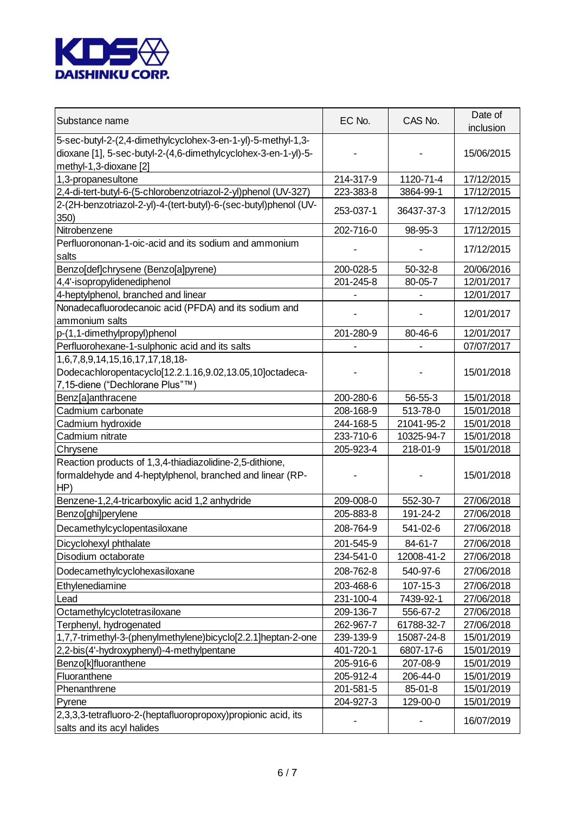

| Substance name                                                                                                                                           | EC No.    | CAS No.       | Date of<br>inclusion |
|----------------------------------------------------------------------------------------------------------------------------------------------------------|-----------|---------------|----------------------|
| 5-sec-butyl-2-(2,4-dimethylcyclohex-3-en-1-yl)-5-methyl-1,3-<br>dioxane [1], 5-sec-butyl-2-(4,6-dimethylcyclohex-3-en-1-yl)-5-<br>methyl-1,3-dioxane [2] |           |               | 15/06/2015           |
| 1,3-propanesultone                                                                                                                                       | 214-317-9 | 1120-71-4     | 17/12/2015           |
| 2,4-di-tert-butyl-6-(5-chlorobenzotriazol-2-yl)phenol (UV-327)                                                                                           | 223-383-8 | 3864-99-1     | 17/12/2015           |
| 2-(2H-benzotriazol-2-yl)-4-(tert-butyl)-6-(sec-butyl)phenol (UV-                                                                                         |           |               |                      |
| 350)                                                                                                                                                     | 253-037-1 | 36437-37-3    | 17/12/2015           |
| Nitrobenzene                                                                                                                                             | 202-716-0 | 98-95-3       | 17/12/2015           |
| Perfluorononan-1-oic-acid and its sodium and ammonium<br>salts                                                                                           |           |               | 17/12/2015           |
| Benzo[def]chrysene (Benzo[a]pyrene)                                                                                                                      | 200-028-5 | $50-32-8$     | 20/06/2016           |
| 4,4'-isopropylidenediphenol                                                                                                                              | 201-245-8 | 80-05-7       | 12/01/2017           |
| 4-heptylphenol, branched and linear                                                                                                                      |           |               | 12/01/2017           |
| Nonadecafluorodecanoic acid (PFDA) and its sodium and                                                                                                    |           |               |                      |
| ammonium salts                                                                                                                                           |           |               | 12/01/2017           |
| p-(1,1-dimethylpropyl)phenol                                                                                                                             | 201-280-9 | 80-46-6       | 12/01/2017           |
| Perfluorohexane-1-sulphonic acid and its salts                                                                                                           |           |               | 07/07/2017           |
| 1,6,7,8,9,14,15,16,17,17,18,18-                                                                                                                          |           |               |                      |
| Dodecachloropentacyclo[12.2.1.16,9.02,13.05,10]octadeca-                                                                                                 |           |               | 15/01/2018           |
| 7,15-diene ("Dechlorane Plus"™)                                                                                                                          |           |               |                      |
| Benz[a]anthracene                                                                                                                                        | 200-280-6 | $56 - 55 - 3$ | 15/01/2018           |
| Cadmium carbonate                                                                                                                                        | 208-168-9 | 513-78-0      | 15/01/2018           |
| Cadmium hydroxide                                                                                                                                        | 244-168-5 | 21041-95-2    | 15/01/2018           |
| Cadmium nitrate                                                                                                                                          | 233-710-6 | 10325-94-7    | 15/01/2018           |
| Chrysene                                                                                                                                                 | 205-923-4 | 218-01-9      | 15/01/2018           |
| Reaction products of 1,3,4-thiadiazolidine-2,5-dithione,<br>formaldehyde and 4-heptylphenol, branched and linear (RP-<br>HP)                             |           |               | 15/01/2018           |
| Benzene-1,2,4-tricarboxylic acid 1,2 anhydride                                                                                                           | 209-008-0 | 552-30-7      | 27/06/2018           |
| Benzo[ghi]perylene                                                                                                                                       | 205-883-8 | 191-24-2      | 27/06/2018           |
| Decamethylcyclopentasiloxane                                                                                                                             | 208-764-9 | 541-02-6      | 27/06/2018           |
| Dicyclohexyl phthalate                                                                                                                                   | 201-545-9 | 84-61-7       | 27/06/2018           |
| Disodium octaborate                                                                                                                                      | 234-541-0 | 12008-41-2    | 27/06/2018           |
| Dodecamethylcyclohexasiloxane                                                                                                                            | 208-762-8 | 540-97-6      | 27/06/2018           |
| Ethylenediamine                                                                                                                                          | 203-468-6 | 107-15-3      | 27/06/2018           |
| Lead                                                                                                                                                     | 231-100-4 | 7439-92-1     | 27/06/2018           |
| Octamethylcyclotetrasiloxane                                                                                                                             | 209-136-7 | 556-67-2      | 27/06/2018           |
| Terphenyl, hydrogenated                                                                                                                                  | 262-967-7 | 61788-32-7    | 27/06/2018           |
| 1,7,7-trimethyl-3-(phenylmethylene)bicyclo[2.2.1]heptan-2-one                                                                                            | 239-139-9 | 15087-24-8    | 15/01/2019           |
| 2,2-bis(4'-hydroxyphenyl)-4-methylpentane                                                                                                                | 401-720-1 | 6807-17-6     | 15/01/2019           |
| Benzo[k]fluoranthene                                                                                                                                     | 205-916-6 | 207-08-9      | 15/01/2019           |
| Fluoranthene                                                                                                                                             | 205-912-4 | 206-44-0      | 15/01/2019           |
| Phenanthrene                                                                                                                                             | 201-581-5 | 85-01-8       | 15/01/2019           |
| Pyrene                                                                                                                                                   | 204-927-3 | 129-00-0      | 15/01/2019           |
| 2,3,3,3-tetrafluoro-2-(heptafluoropropoxy)propionic acid, its<br>salts and its acyl halides                                                              |           |               | 16/07/2019           |